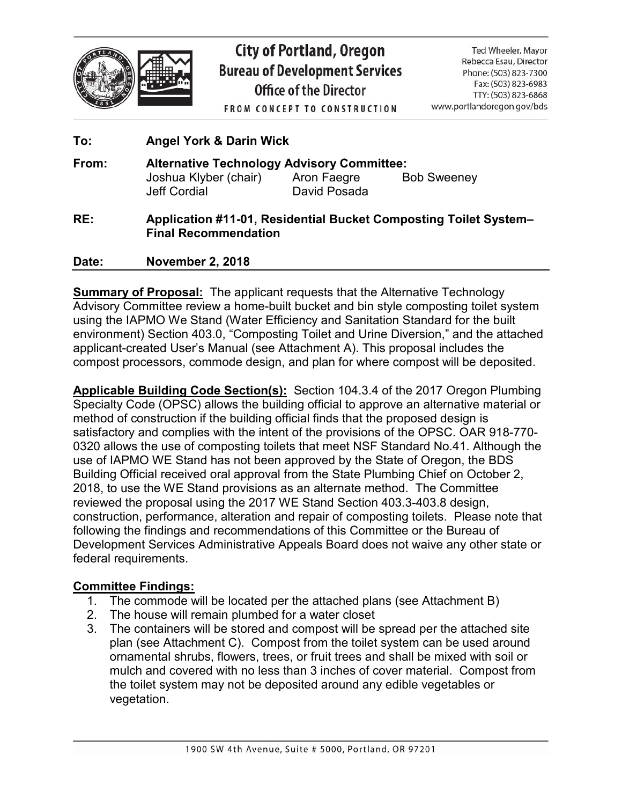

# **City of Portland, Oregon Bureau of Development Services** Office of the Director

Ted Wheeler, Mayor Rebecca Esau, Director Phone: (503) 823-7300 Fax: (503) 823-6983 TTY: (503) 823-6868 www.portlandoregon.gov/bds

**FROM CONCEPT TO CONSTRUCTION** 

# **To: Angel York & Darin Wick From: Alternative Technology Advisory Committee:** Joshua Klyber (chair) Aron Faegre Bob Sweeney Jeff Cordial David Posada **RE: Application #11-01, Residential Bucket Composting Toilet System– Final Recommendation Date: November 2, 2018**

**Summary of Proposal:** The applicant requests that the Alternative Technology Advisory Committee review a home-built bucket and bin style composting toilet system using the IAPMO We Stand (Water Efficiency and Sanitation Standard for the built environment) Section 403.0, "Composting Toilet and Urine Diversion," and the attached applicant-created User's Manual (see Attachment A). This proposal includes the compost processors, commode design, and plan for where compost will be deposited.

**Applicable Building Code Section(s):** Section 104.3.4 of the 2017 Oregon Plumbing Specialty Code (OPSC) allows the building official to approve an alternative material or method of construction if the building official finds that the proposed design is satisfactory and complies with the intent of the provisions of the OPSC. OAR 918-770- 0320 allows the use of composting toilets that meet NSF Standard No.41. Although the use of IAPMO WE Stand has not been approved by the State of Oregon, the BDS Building Official received oral approval from the State Plumbing Chief on October 2, 2018, to use the WE Stand provisions as an alternate method. The Committee reviewed the proposal using the 2017 WE Stand Section 403.3-403.8 design, construction, performance, alteration and repair of composting toilets. Please note that following the findings and recommendations of this Committee or the Bureau of Development Services Administrative Appeals Board does not waive any other state or federal requirements.

## **Committee Findings:**

- 1. The commode will be located per the attached plans (see Attachment B)
- 2. The house will remain plumbed for a water closet
- 3. The containers will be stored and compost will be spread per the attached site plan (see Attachment C). Compost from the toilet system can be used around ornamental shrubs, flowers, trees, or fruit trees and shall be mixed with soil or mulch and covered with no less than 3 inches of cover material. Compost from the toilet system may not be deposited around any edible vegetables or vegetation.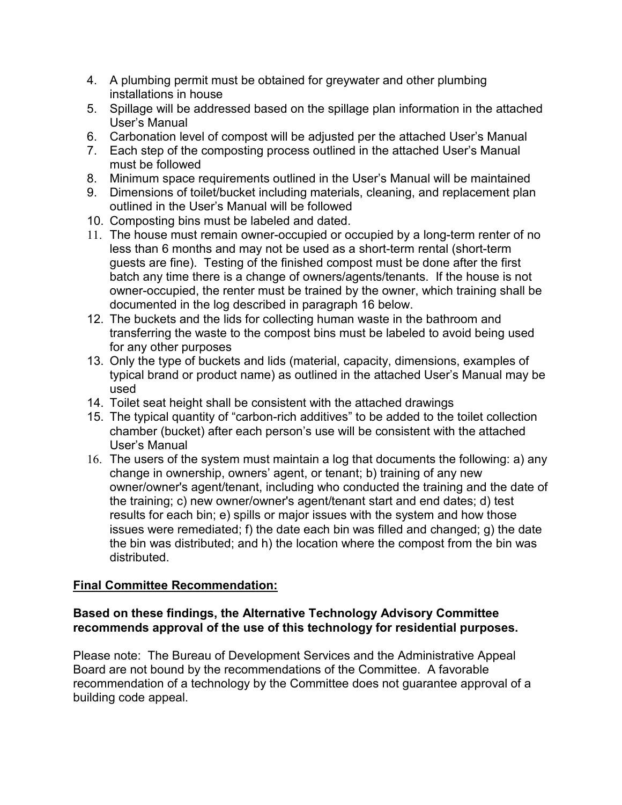- 4. A plumbing permit must be obtained for greywater and other plumbing installations in house
- 5. Spillage will be addressed based on the spillage plan information in the attached User's Manual
- 6. Carbonation level of compost will be adjusted per the attached User's Manual
- 7. Each step of the composting process outlined in the attached User's Manual must be followed
- 8. Minimum space requirements outlined in the User's Manual will be maintained
- 9. Dimensions of toilet/bucket including materials, cleaning, and replacement plan outlined in the User's Manual will be followed
- 10. Composting bins must be labeled and dated.
- 11. The house must remain owner-occupied or occupied by a long-term renter of no less than 6 months and may not be used as a short-term rental (short-term guests are fine). Testing of the finished compost must be done after the first batch any time there is a change of owners/agents/tenants. If the house is not owner-occupied, the renter must be trained by the owner, which training shall be documented in the log described in paragraph 16 below.
- 12. The buckets and the lids for collecting human waste in the bathroom and transferring the waste to the compost bins must be labeled to avoid being used for any other purposes
- 13. Only the type of buckets and lids (material, capacity, dimensions, examples of typical brand or product name) as outlined in the attached User's Manual may be used
- 14. Toilet seat height shall be consistent with the attached drawings
- 15. The typical quantity of "carbon-rich additives" to be added to the toilet collection chamber (bucket) after each person's use will be consistent with the attached User's Manual
- 16. The users of the system must maintain a log that documents the following: a) any change in ownership, owners' agent, or tenant; b) training of any new owner/owner's agent/tenant, including who conducted the training and the date of the training; c) new owner/owner's agent/tenant start and end dates; d) test results for each bin; e) spills or major issues with the system and how those issues were remediated; f) the date each bin was filled and changed; g) the date the bin was distributed; and h) the location where the compost from the bin was distributed.

## **Final Committee Recommendation:**

#### **Based on these findings, the Alternative Technology Advisory Committee recommends approval of the use of this technology for residential purposes.**

Please note: The Bureau of Development Services and the Administrative Appeal Board are not bound by the recommendations of the Committee. A favorable recommendation of a technology by the Committee does not guarantee approval of a building code appeal.